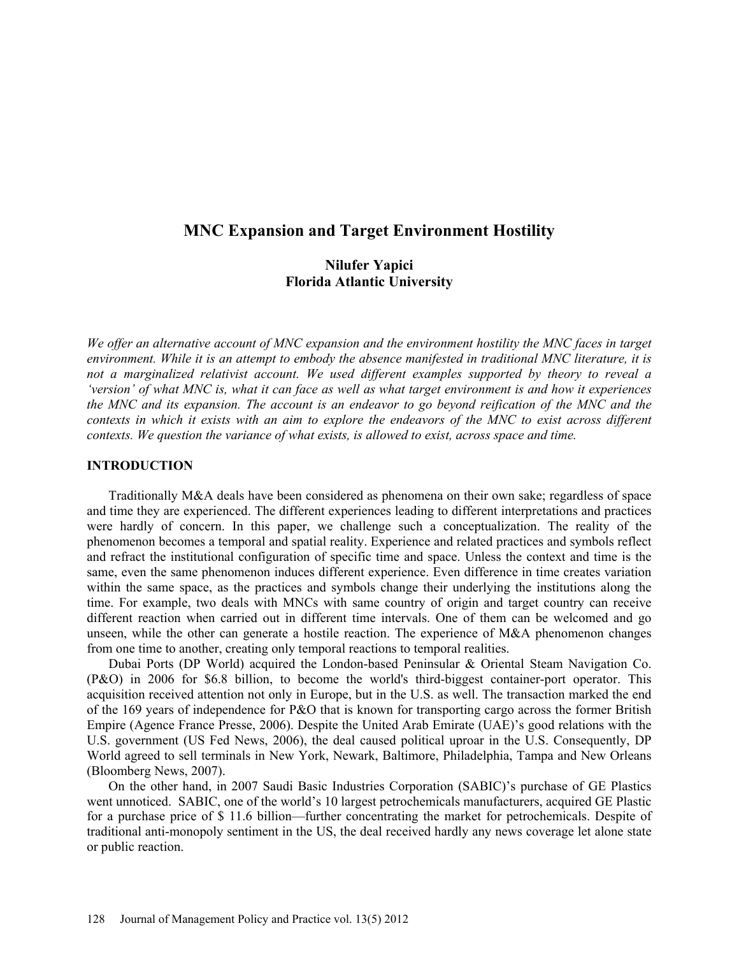# **MNC Expansion and Target Environment Hostility**

# **Nilufer Yapici Florida Atlantic University**

*We offer an alternative account of MNC expansion and the environment hostility the MNC faces in target environment. While it is an attempt to embody the absence manifested in traditional MNC literature, it is not a marginalized relativist account. We used different examples supported by theory to reveal a 'version' of what MNC is, what it can face as well as what target environment is and how it experiences the MNC and its expansion. The account is an endeavor to go beyond reification of the MNC and the contexts in which it exists with an aim to explore the endeavors of the MNC to exist across different contexts. We question the variance of what exists, is allowed to exist, across space and time.* 

# **INTRODUCTION**

Traditionally M&A deals have been considered as phenomena on their own sake; regardless of space and time they are experienced. The different experiences leading to different interpretations and practices were hardly of concern. In this paper, we challenge such a conceptualization. The reality of the phenomenon becomes a temporal and spatial reality. Experience and related practices and symbols reflect and refract the institutional configuration of specific time and space. Unless the context and time is the same, even the same phenomenon induces different experience. Even difference in time creates variation within the same space, as the practices and symbols change their underlying the institutions along the time. For example, two deals with MNCs with same country of origin and target country can receive different reaction when carried out in different time intervals. One of them can be welcomed and go unseen, while the other can generate a hostile reaction. The experience of M&A phenomenon changes from one time to another, creating only temporal reactions to temporal realities.

Dubai Ports (DP World) acquired the London-based Peninsular & Oriental Steam Navigation Co. (P&O) in 2006 for \$6.8 billion, to become the world's third-biggest container-port operator. This acquisition received attention not only in Europe, but in the U.S. as well. The transaction marked the end of the 169 years of independence for P&O that is known for transporting cargo across the former British Empire (Agence France Presse, 2006). Despite the United Arab Emirate (UAE)'s good relations with the U.S. government (US Fed News, 2006), the deal caused political uproar in the U.S. Consequently, DP World agreed to sell terminals in New York, Newark, Baltimore, Philadelphia, Tampa and New Orleans (Bloomberg News, 2007).

On the other hand, in 2007 Saudi Basic Industries Corporation (SABIC)'s purchase of GE Plastics went unnoticed. SABIC, one of the world's 10 largest petrochemicals manufacturers, acquired GE Plastic for a purchase price of \$ 11.6 billion—further concentrating the market for petrochemicals. Despite of traditional anti-monopoly sentiment in the US, the deal received hardly any news coverage let alone state or public reaction.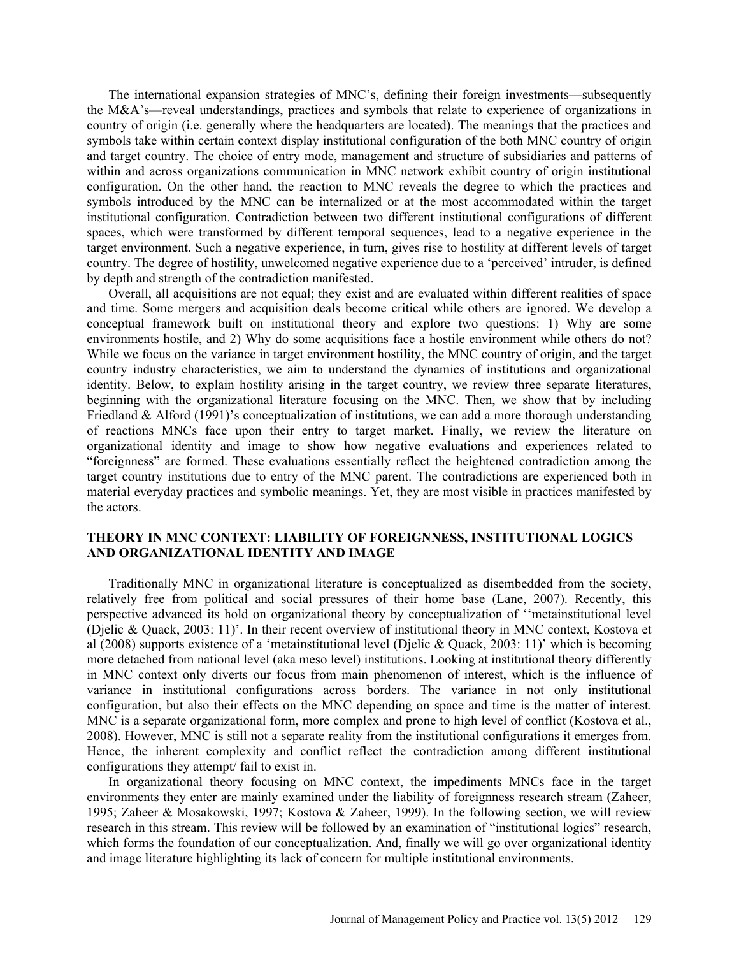The international expansion strategies of MNC's, defining their foreign investments—subsequently the M&A's—reveal understandings, practices and symbols that relate to experience of organizations in country of origin (i.e. generally where the headquarters are located). The meanings that the practices and symbols take within certain context display institutional configuration of the both MNC country of origin and target country. The choice of entry mode, management and structure of subsidiaries and patterns of within and across organizations communication in MNC network exhibit country of origin institutional configuration. On the other hand, the reaction to MNC reveals the degree to which the practices and symbols introduced by the MNC can be internalized or at the most accommodated within the target institutional configuration. Contradiction between two different institutional configurations of different spaces, which were transformed by different temporal sequences, lead to a negative experience in the target environment. Such a negative experience, in turn, gives rise to hostility at different levels of target country. The degree of hostility, unwelcomed negative experience due to a 'perceived' intruder, is defined by depth and strength of the contradiction manifested.

Overall, all acquisitions are not equal; they exist and are evaluated within different realities of space and time. Some mergers and acquisition deals become critical while others are ignored. We develop a conceptual framework built on institutional theory and explore two questions: 1) Why are some environments hostile, and 2) Why do some acquisitions face a hostile environment while others do not? While we focus on the variance in target environment hostility, the MNC country of origin, and the target country industry characteristics, we aim to understand the dynamics of institutions and organizational identity. Below, to explain hostility arising in the target country, we review three separate literatures, beginning with the organizational literature focusing on the MNC. Then, we show that by including Friedland & Alford (1991)'s conceptualization of institutions, we can add a more thorough understanding of reactions MNCs face upon their entry to target market. Finally, we review the literature on organizational identity and image to show how negative evaluations and experiences related to "foreignness" are formed. These evaluations essentially reflect the heightened contradiction among the target country institutions due to entry of the MNC parent. The contradictions are experienced both in material everyday practices and symbolic meanings. Yet, they are most visible in practices manifested by the actors.

# **THEORY IN MNC CONTEXT: LIABILITY OF FOREIGNNESS, INSTITUTIONAL LOGICS AND ORGANIZATIONAL IDENTITY AND IMAGE**

Traditionally MNC in organizational literature is conceptualized as disembedded from the society, relatively free from political and social pressures of their home base (Lane, 2007). Recently, this perspective advanced its hold on organizational theory by conceptualization of ''metainstitutional level (Djelic & Quack, 2003: 11)'. In their recent overview of institutional theory in MNC context, Kostova et al (2008) supports existence of a 'metainstitutional level (Djelic & Quack, 2003: 11)' which is becoming more detached from national level (aka meso level) institutions. Looking at institutional theory differently in MNC context only diverts our focus from main phenomenon of interest, which is the influence of variance in institutional configurations across borders. The variance in not only institutional configuration, but also their effects on the MNC depending on space and time is the matter of interest. MNC is a separate organizational form, more complex and prone to high level of conflict (Kostova et al., 2008). However, MNC is still not a separate reality from the institutional configurations it emerges from. Hence, the inherent complexity and conflict reflect the contradiction among different institutional configurations they attempt/ fail to exist in.

In organizational theory focusing on MNC context, the impediments MNCs face in the target environments they enter are mainly examined under the liability of foreignness research stream (Zaheer, 1995; Zaheer & Mosakowski, 1997; Kostova & Zaheer, 1999). In the following section, we will review research in this stream. This review will be followed by an examination of "institutional logics" research, which forms the foundation of our conceptualization. And, finally we will go over organizational identity and image literature highlighting its lack of concern for multiple institutional environments.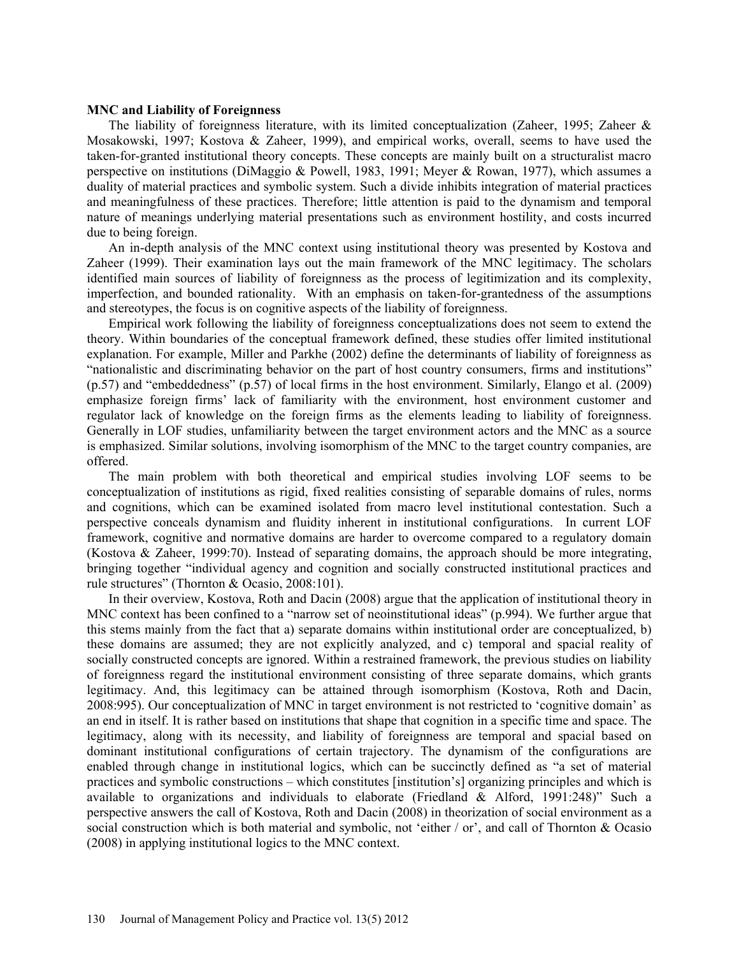### **MNC and Liability of Foreignness**

The liability of foreignness literature, with its limited conceptualization (Zaheer, 1995; Zaheer  $\&$ Mosakowski, 1997; Kostova & Zaheer, 1999), and empirical works, overall, seems to have used the taken-for-granted institutional theory concepts. These concepts are mainly built on a structuralist macro perspective on institutions (DiMaggio & Powell, 1983, 1991; Meyer & Rowan, 1977), which assumes a duality of material practices and symbolic system. Such a divide inhibits integration of material practices and meaningfulness of these practices. Therefore; little attention is paid to the dynamism and temporal nature of meanings underlying material presentations such as environment hostility, and costs incurred due to being foreign.

An in-depth analysis of the MNC context using institutional theory was presented by Kostova and Zaheer (1999). Their examination lays out the main framework of the MNC legitimacy. The scholars identified main sources of liability of foreignness as the process of legitimization and its complexity, imperfection, and bounded rationality. With an emphasis on taken-for-grantedness of the assumptions and stereotypes, the focus is on cognitive aspects of the liability of foreignness.

Empirical work following the liability of foreignness conceptualizations does not seem to extend the theory. Within boundaries of the conceptual framework defined, these studies offer limited institutional explanation. For example, Miller and Parkhe (2002) define the determinants of liability of foreignness as "nationalistic and discriminating behavior on the part of host country consumers, firms and institutions" (p.57) and "embeddedness" (p.57) of local firms in the host environment. Similarly, Elango et al. (2009) emphasize foreign firms' lack of familiarity with the environment, host environment customer and regulator lack of knowledge on the foreign firms as the elements leading to liability of foreignness. Generally in LOF studies, unfamiliarity between the target environment actors and the MNC as a source is emphasized. Similar solutions, involving isomorphism of the MNC to the target country companies, are offered.

The main problem with both theoretical and empirical studies involving LOF seems to be conceptualization of institutions as rigid, fixed realities consisting of separable domains of rules, norms and cognitions, which can be examined isolated from macro level institutional contestation. Such a perspective conceals dynamism and fluidity inherent in institutional configurations. In current LOF framework, cognitive and normative domains are harder to overcome compared to a regulatory domain (Kostova & Zaheer, 1999:70). Instead of separating domains, the approach should be more integrating, bringing together "individual agency and cognition and socially constructed institutional practices and rule structures" (Thornton & Ocasio, 2008:101).

In their overview, Kostova, Roth and Dacin (2008) argue that the application of institutional theory in MNC context has been confined to a "narrow set of neoinstitutional ideas" (p.994). We further argue that this stems mainly from the fact that a) separate domains within institutional order are conceptualized, b) these domains are assumed; they are not explicitly analyzed, and c) temporal and spacial reality of socially constructed concepts are ignored. Within a restrained framework, the previous studies on liability of foreignness regard the institutional environment consisting of three separate domains, which grants legitimacy. And, this legitimacy can be attained through isomorphism (Kostova, Roth and Dacin, 2008:995). Our conceptualization of MNC in target environment is not restricted to 'cognitive domain' as an end in itself. It is rather based on institutions that shape that cognition in a specific time and space. The legitimacy, along with its necessity, and liability of foreignness are temporal and spacial based on dominant institutional configurations of certain trajectory. The dynamism of the configurations are enabled through change in institutional logics, which can be succinctly defined as "a set of material practices and symbolic constructions – which constitutes [institution's] organizing principles and which is available to organizations and individuals to elaborate (Friedland & Alford, 1991:248)" Such a perspective answers the call of Kostova, Roth and Dacin (2008) in theorization of social environment as a social construction which is both material and symbolic, not 'either / or', and call of Thornton & Ocasio (2008) in applying institutional logics to the MNC context.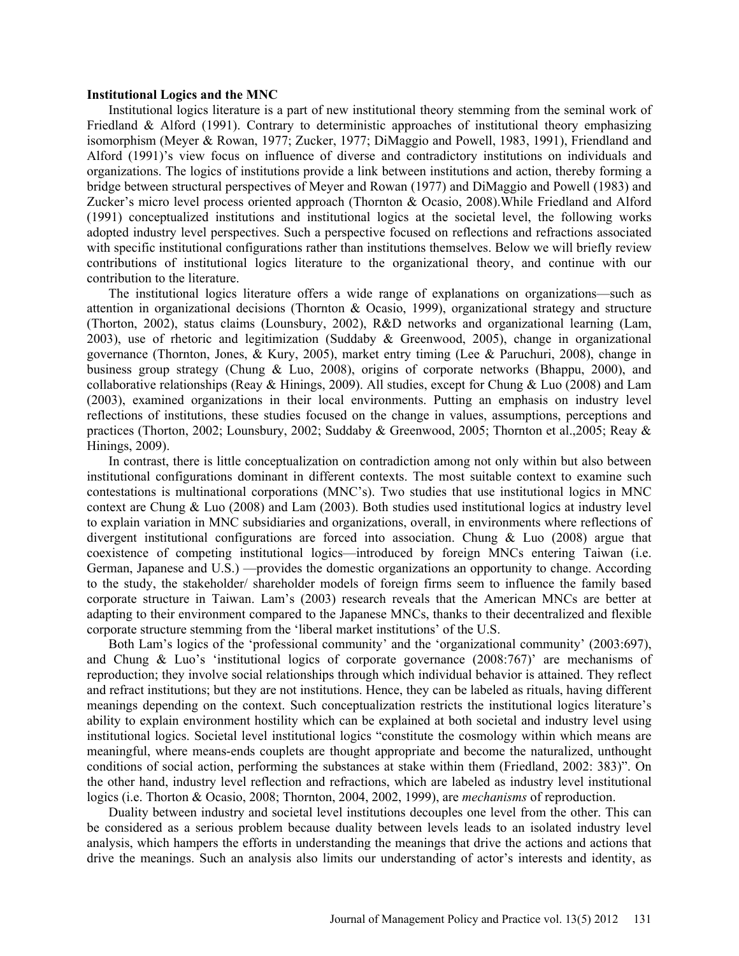#### **Institutional Logics and the MNC**

Institutional logics literature is a part of new institutional theory stemming from the seminal work of Friedland & Alford (1991). Contrary to deterministic approaches of institutional theory emphasizing isomorphism (Meyer & Rowan, 1977; Zucker, 1977; DiMaggio and Powell, 1983, 1991), Friendland and Alford (1991)'s view focus on influence of diverse and contradictory institutions on individuals and organizations. The logics of institutions provide a link between institutions and action, thereby forming a bridge between structural perspectives of Meyer and Rowan (1977) and DiMaggio and Powell (1983) and Zucker's micro level process oriented approach (Thornton & Ocasio, 2008).While Friedland and Alford (1991) conceptualized institutions and institutional logics at the societal level, the following works adopted industry level perspectives. Such a perspective focused on reflections and refractions associated with specific institutional configurations rather than institutions themselves. Below we will briefly review contributions of institutional logics literature to the organizational theory, and continue with our contribution to the literature.

The institutional logics literature offers a wide range of explanations on organizations—such as attention in organizational decisions (Thornton & Ocasio, 1999), organizational strategy and structure (Thorton, 2002), status claims (Lounsbury, 2002), R&D networks and organizational learning (Lam, 2003), use of rhetoric and legitimization (Suddaby & Greenwood, 2005), change in organizational governance (Thornton, Jones, & Kury, 2005), market entry timing (Lee & Paruchuri, 2008), change in business group strategy (Chung & Luo, 2008), origins of corporate networks (Bhappu, 2000), and collaborative relationships (Reay & Hinings, 2009). All studies, except for Chung & Luo (2008) and Lam (2003), examined organizations in their local environments. Putting an emphasis on industry level reflections of institutions, these studies focused on the change in values, assumptions, perceptions and practices (Thorton, 2002; Lounsbury, 2002; Suddaby & Greenwood, 2005; Thornton et al.,2005; Reay & Hinings, 2009).

In contrast, there is little conceptualization on contradiction among not only within but also between institutional configurations dominant in different contexts. The most suitable context to examine such contestations is multinational corporations (MNC's). Two studies that use institutional logics in MNC context are Chung & Luo (2008) and Lam (2003). Both studies used institutional logics at industry level to explain variation in MNC subsidiaries and organizations, overall, in environments where reflections of divergent institutional configurations are forced into association. Chung & Luo (2008) argue that coexistence of competing institutional logics—introduced by foreign MNCs entering Taiwan (i.e. German, Japanese and U.S.) —provides the domestic organizations an opportunity to change. According to the study, the stakeholder/ shareholder models of foreign firms seem to influence the family based corporate structure in Taiwan. Lam's (2003) research reveals that the American MNCs are better at adapting to their environment compared to the Japanese MNCs, thanks to their decentralized and flexible corporate structure stemming from the 'liberal market institutions' of the U.S.

Both Lam's logics of the 'professional community' and the 'organizational community' (2003:697), and Chung & Luo's 'institutional logics of corporate governance  $(2008:767)'$  are mechanisms of reproduction; they involve social relationships through which individual behavior is attained. They reflect and refract institutions; but they are not institutions. Hence, they can be labeled as rituals, having different meanings depending on the context. Such conceptualization restricts the institutional logics literature's ability to explain environment hostility which can be explained at both societal and industry level using institutional logics. Societal level institutional logics "constitute the cosmology within which means are meaningful, where means-ends couplets are thought appropriate and become the naturalized, unthought conditions of social action, performing the substances at stake within them (Friedland, 2002: 383)". On the other hand, industry level reflection and refractions, which are labeled as industry level institutional logics (i.e. Thorton & Ocasio, 2008; Thornton, 2004, 2002, 1999), are *mechanisms* of reproduction.

Duality between industry and societal level institutions decouples one level from the other. This can be considered as a serious problem because duality between levels leads to an isolated industry level analysis, which hampers the efforts in understanding the meanings that drive the actions and actions that drive the meanings. Such an analysis also limits our understanding of actor's interests and identity, as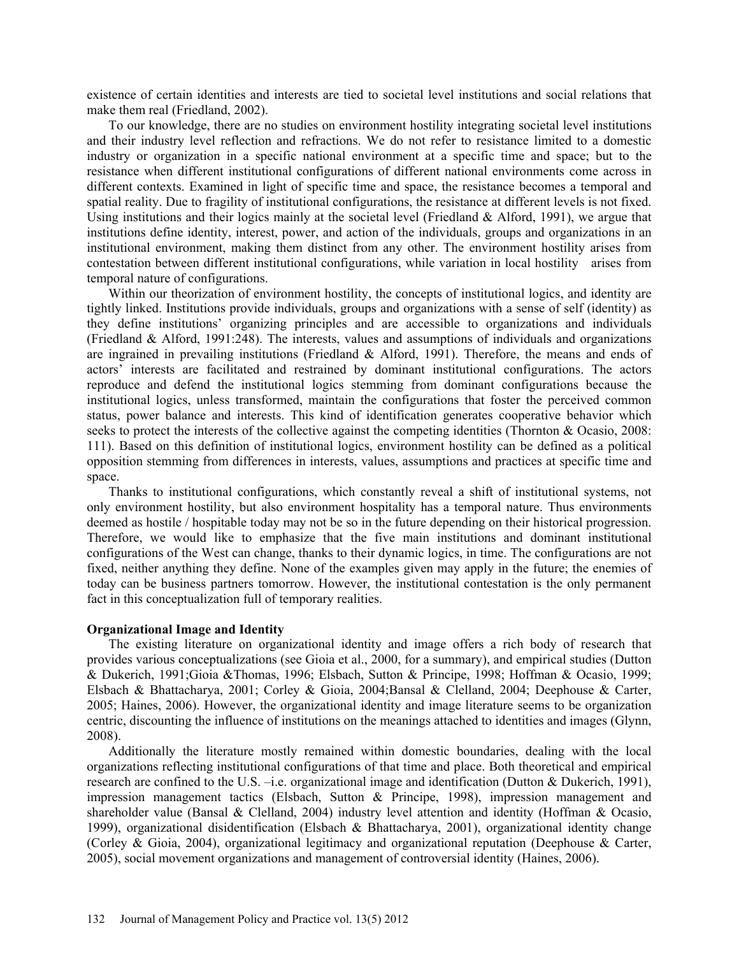existence of certain identities and interests are tied to societal level institutions and social relations that make them real (Friedland, 2002).

To our knowledge, there are no studies on environment hostility integrating societal level institutions and their industry level reflection and refractions. We do not refer to resistance limited to a domestic industry or organization in a specific national environment at a specific time and space; but to the resistance when different institutional configurations of different national environments come across in different contexts. Examined in light of specific time and space, the resistance becomes a temporal and spatial reality. Due to fragility of institutional configurations, the resistance at different levels is not fixed. Using institutions and their logics mainly at the societal level (Friedland  $&$  Alford, 1991), we argue that institutions define identity, interest, power, and action of the individuals, groups and organizations in an institutional environment, making them distinct from any other. The environment hostility arises from contestation between different institutional configurations, while variation in local hostility arises from temporal nature of configurations.

Within our theorization of environment hostility, the concepts of institutional logics, and identity are tightly linked. Institutions provide individuals, groups and organizations with a sense of self (identity) as they define institutions' organizing principles and are accessible to organizations and individuals (Friedland & Alford, 1991:248). The interests, values and assumptions of individuals and organizations are ingrained in prevailing institutions (Friedland & Alford, 1991). Therefore, the means and ends of actors' interests are facilitated and restrained by dominant institutional configurations. The actors reproduce and defend the institutional logics stemming from dominant configurations because the institutional logics, unless transformed, maintain the configurations that foster the perceived common status, power balance and interests. This kind of identification generates cooperative behavior which seeks to protect the interests of the collective against the competing identities (Thornton & Ocasio, 2008: 111). Based on this definition of institutional logics, environment hostility can be defined as a political opposition stemming from differences in interests, values, assumptions and practices at specific time and space.

Thanks to institutional configurations, which constantly reveal a shift of institutional systems, not only environment hostility, but also environment hospitality has a temporal nature. Thus environments deemed as hostile / hospitable today may not be so in the future depending on their historical progression. Therefore, we would like to emphasize that the five main institutions and dominant institutional configurations of the West can change, thanks to their dynamic logics, in time. The configurations are not fixed, neither anything they define. None of the examples given may apply in the future; the enemies of today can be business partners tomorrow. However, the institutional contestation is the only permanent fact in this conceptualization full of temporary realities.

#### **Organizational Image and Identity**

The existing literature on organizational identity and image offers a rich body of research that provides various conceptualizations (see Gioia et al., 2000, for a summary), and empirical studies (Dutton & Dukerich, 1991;Gioia &Thomas, 1996; Elsbach, Sutton & Principe, 1998; Hoffman & Ocasio, 1999; Elsbach & Bhattacharya, 2001; Corley & Gioia, 2004;Bansal & Clelland, 2004; Deephouse & Carter, 2005; Haines, 2006). However, the organizational identity and image literature seems to be organization centric, discounting the influence of institutions on the meanings attached to identities and images (Glynn, 2008).

Additionally the literature mostly remained within domestic boundaries, dealing with the local organizations reflecting institutional configurations of that time and place. Both theoretical and empirical research are confined to the U.S. –i.e. organizational image and identification (Dutton & Dukerich, 1991), impression management tactics (Elsbach, Sutton & Principe, 1998), impression management and shareholder value (Bansal & Clelland, 2004) industry level attention and identity (Hoffman & Ocasio, 1999), organizational disidentification (Elsbach & Bhattacharya, 2001), organizational identity change (Corley & Gioia, 2004), organizational legitimacy and organizational reputation (Deephouse & Carter, 2005), social movement organizations and management of controversial identity (Haines, 2006).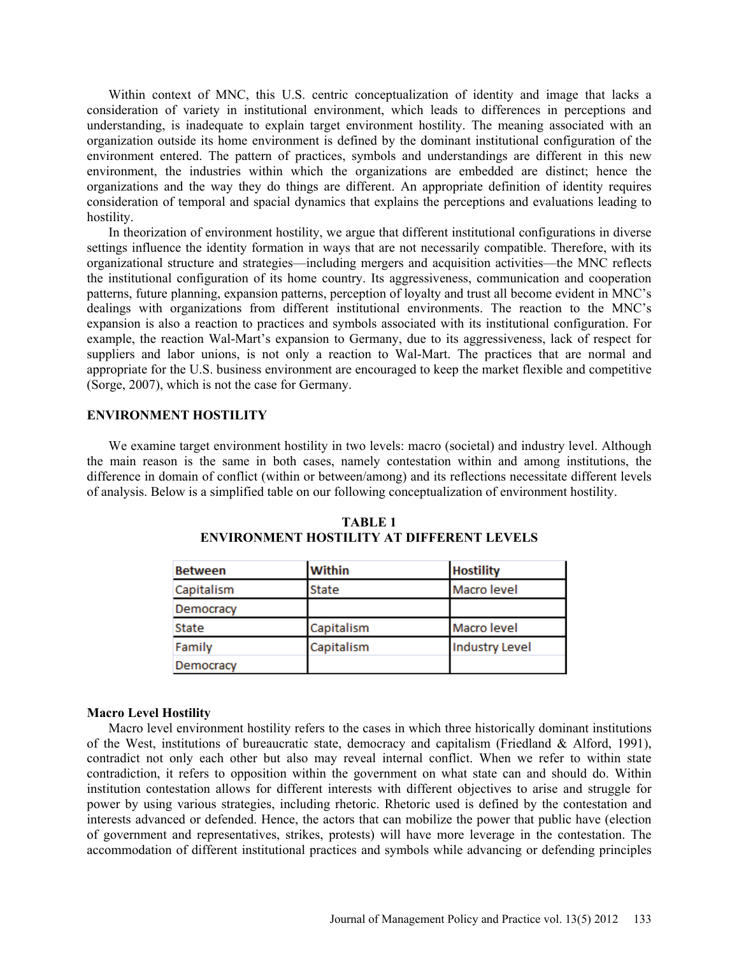Within context of MNC, this U.S. centric conceptualization of identity and image that lacks a consideration of variety in institutional environment, which leads to differences in perceptions and understanding, is inadequate to explain target environment hostility. The meaning associated with an organization outside its home environment is defined by the dominant institutional configuration of the environment entered. The pattern of practices, symbols and understandings are different in this new environment, the industries within which the organizations are embedded are distinct; hence the organizations and the way they do things are different. An appropriate definition of identity requires consideration of temporal and spacial dynamics that explains the perceptions and evaluations leading to hostility.

In theorization of environment hostility, we argue that different institutional configurations in diverse settings influence the identity formation in ways that are not necessarily compatible. Therefore, with its organizational structure and strategies—including mergers and acquisition activities—the MNC reflects the institutional configuration of its home country. Its aggressiveness, communication and cooperation patterns, future planning, expansion patterns, perception of loyalty and trust all become evident in MNC's dealings with organizations from different institutional environments. The reaction to the MNC's expansion is also a reaction to practices and symbols associated with its institutional configuration. For example, the reaction Wal-Mart's expansion to Germany, due to its aggressiveness, lack of respect for suppliers and labor unions, is not only a reaction to Wal-Mart. The practices that are normal and appropriate for the U.S. business environment are encouraged to keep the market flexible and competitive (Sorge, 2007), which is not the case for Germany.

### **ENVIRONMENT HOSTILITY**

We examine target environment hostility in two levels: macro (societal) and industry level. Although the main reason is the same in both cases, namely contestation within and among institutions, the difference in domain of conflict (within or between/among) and its reflections necessitate different levels of analysis. Below is a simplified table on our following conceptualization of environment hostility.

| <b>Between</b> | Within     | <b>Hostility</b>      |
|----------------|------------|-----------------------|
| Capitalism     | State      | Macro level           |
| Democracy      |            |                       |
| State          | Capitalism | Macro level           |
| Family         | Capitalism | <b>Industry Level</b> |
| Democracy      |            |                       |

**TABLE 1 ENVIRONMENT HOSTILITY AT DIFFERENT LEVELS** 

#### **Macro Level Hostility**

Macro level environment hostility refers to the cases in which three historically dominant institutions of the West, institutions of bureaucratic state, democracy and capitalism (Friedland & Alford, 1991), contradict not only each other but also may reveal internal conflict. When we refer to within state contradiction, it refers to opposition within the government on what state can and should do. Within institution contestation allows for different interests with different objectives to arise and struggle for power by using various strategies, including rhetoric. Rhetoric used is defined by the contestation and interests advanced or defended. Hence, the actors that can mobilize the power that public have (election of government and representatives, strikes, protests) will have more leverage in the contestation. The accommodation of different institutional practices and symbols while advancing or defending principles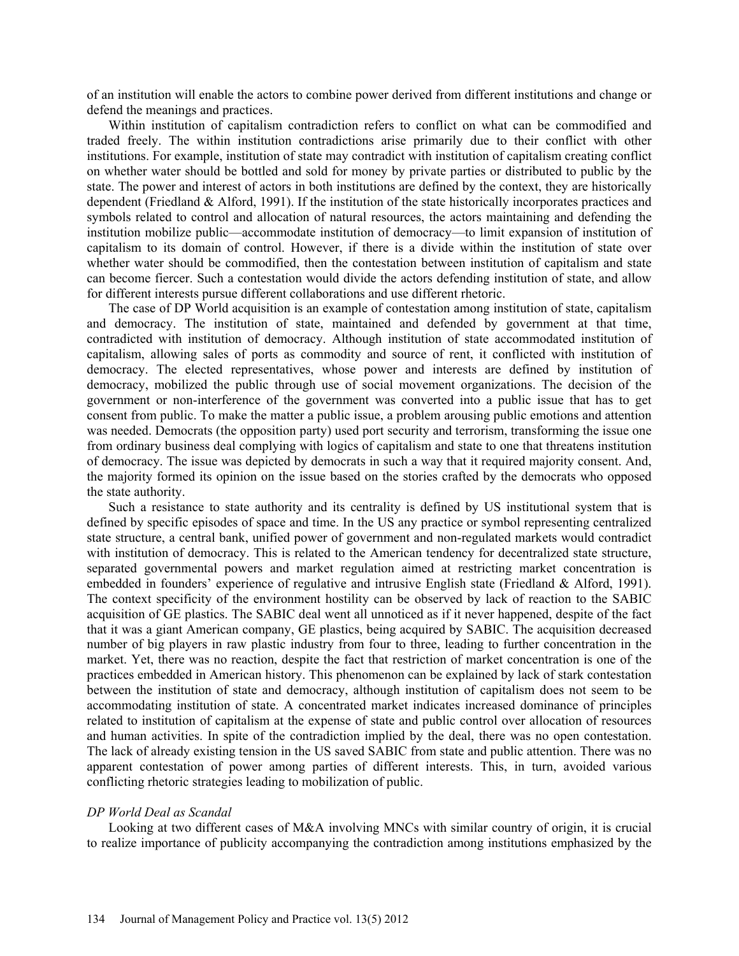of an institution will enable the actors to combine power derived from different institutions and change or defend the meanings and practices.

Within institution of capitalism contradiction refers to conflict on what can be commodified and traded freely. The within institution contradictions arise primarily due to their conflict with other institutions. For example, institution of state may contradict with institution of capitalism creating conflict on whether water should be bottled and sold for money by private parties or distributed to public by the state. The power and interest of actors in both institutions are defined by the context, they are historically dependent (Friedland & Alford, 1991). If the institution of the state historically incorporates practices and symbols related to control and allocation of natural resources, the actors maintaining and defending the institution mobilize public—accommodate institution of democracy—to limit expansion of institution of capitalism to its domain of control. However, if there is a divide within the institution of state over whether water should be commodified, then the contestation between institution of capitalism and state can become fiercer. Such a contestation would divide the actors defending institution of state, and allow for different interests pursue different collaborations and use different rhetoric.

The case of DP World acquisition is an example of contestation among institution of state, capitalism and democracy. The institution of state, maintained and defended by government at that time, contradicted with institution of democracy. Although institution of state accommodated institution of capitalism, allowing sales of ports as commodity and source of rent, it conflicted with institution of democracy. The elected representatives, whose power and interests are defined by institution of democracy, mobilized the public through use of social movement organizations. The decision of the government or non-interference of the government was converted into a public issue that has to get consent from public. To make the matter a public issue, a problem arousing public emotions and attention was needed. Democrats (the opposition party) used port security and terrorism, transforming the issue one from ordinary business deal complying with logics of capitalism and state to one that threatens institution of democracy. The issue was depicted by democrats in such a way that it required majority consent. And, the majority formed its opinion on the issue based on the stories crafted by the democrats who opposed the state authority.

Such a resistance to state authority and its centrality is defined by US institutional system that is defined by specific episodes of space and time. In the US any practice or symbol representing centralized state structure, a central bank, unified power of government and non-regulated markets would contradict with institution of democracy. This is related to the American tendency for decentralized state structure, separated governmental powers and market regulation aimed at restricting market concentration is embedded in founders' experience of regulative and intrusive English state (Friedland & Alford, 1991). The context specificity of the environment hostility can be observed by lack of reaction to the SABIC acquisition of GE plastics. The SABIC deal went all unnoticed as if it never happened, despite of the fact that it was a giant American company, GE plastics, being acquired by SABIC. The acquisition decreased number of big players in raw plastic industry from four to three, leading to further concentration in the market. Yet, there was no reaction, despite the fact that restriction of market concentration is one of the practices embedded in American history. This phenomenon can be explained by lack of stark contestation between the institution of state and democracy, although institution of capitalism does not seem to be accommodating institution of state. A concentrated market indicates increased dominance of principles related to institution of capitalism at the expense of state and public control over allocation of resources and human activities. In spite of the contradiction implied by the deal, there was no open contestation. The lack of already existing tension in the US saved SABIC from state and public attention. There was no apparent contestation of power among parties of different interests. This, in turn, avoided various conflicting rhetoric strategies leading to mobilization of public.

#### *DP World Deal as Scandal*

Looking at two different cases of M&A involving MNCs with similar country of origin, it is crucial to realize importance of publicity accompanying the contradiction among institutions emphasized by the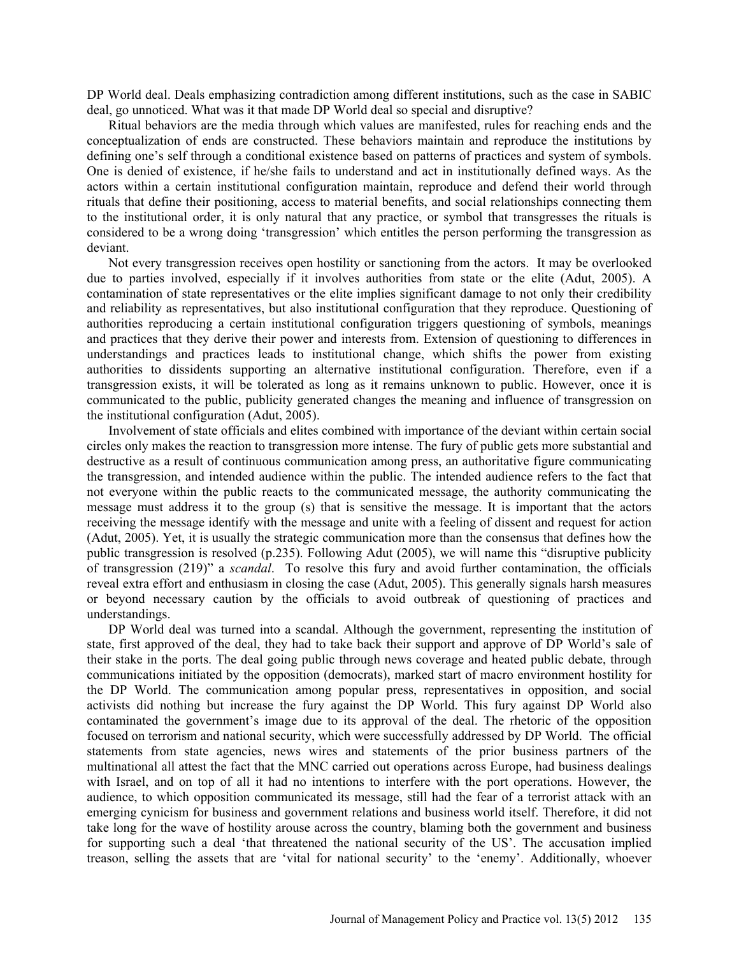DP World deal. Deals emphasizing contradiction among different institutions, such as the case in SABIC deal, go unnoticed. What was it that made DP World deal so special and disruptive?

Ritual behaviors are the media through which values are manifested, rules for reaching ends and the conceptualization of ends are constructed. These behaviors maintain and reproduce the institutions by defining one's self through a conditional existence based on patterns of practices and system of symbols. One is denied of existence, if he/she fails to understand and act in institutionally defined ways. As the actors within a certain institutional configuration maintain, reproduce and defend their world through rituals that define their positioning, access to material benefits, and social relationships connecting them to the institutional order, it is only natural that any practice, or symbol that transgresses the rituals is considered to be a wrong doing 'transgression' which entitles the person performing the transgression as deviant.

Not every transgression receives open hostility or sanctioning from the actors. It may be overlooked due to parties involved, especially if it involves authorities from state or the elite (Adut, 2005). A contamination of state representatives or the elite implies significant damage to not only their credibility and reliability as representatives, but also institutional configuration that they reproduce. Questioning of authorities reproducing a certain institutional configuration triggers questioning of symbols, meanings and practices that they derive their power and interests from. Extension of questioning to differences in understandings and practices leads to institutional change, which shifts the power from existing authorities to dissidents supporting an alternative institutional configuration. Therefore, even if a transgression exists, it will be tolerated as long as it remains unknown to public. However, once it is communicated to the public, publicity generated changes the meaning and influence of transgression on the institutional configuration (Adut, 2005).

Involvement of state officials and elites combined with importance of the deviant within certain social circles only makes the reaction to transgression more intense. The fury of public gets more substantial and destructive as a result of continuous communication among press, an authoritative figure communicating the transgression, and intended audience within the public. The intended audience refers to the fact that not everyone within the public reacts to the communicated message, the authority communicating the message must address it to the group (s) that is sensitive the message. It is important that the actors receiving the message identify with the message and unite with a feeling of dissent and request for action (Adut, 2005). Yet, it is usually the strategic communication more than the consensus that defines how the public transgression is resolved (p.235). Following Adut (2005), we will name this "disruptive publicity of transgression (219)" a *scandal*. To resolve this fury and avoid further contamination, the officials reveal extra effort and enthusiasm in closing the case (Adut, 2005). This generally signals harsh measures or beyond necessary caution by the officials to avoid outbreak of questioning of practices and understandings.

DP World deal was turned into a scandal. Although the government, representing the institution of state, first approved of the deal, they had to take back their support and approve of DP World's sale of their stake in the ports. The deal going public through news coverage and heated public debate, through communications initiated by the opposition (democrats), marked start of macro environment hostility for the DP World. The communication among popular press, representatives in opposition, and social activists did nothing but increase the fury against the DP World. This fury against DP World also contaminated the government's image due to its approval of the deal. The rhetoric of the opposition focused on terrorism and national security, which were successfully addressed by DP World. The official statements from state agencies, news wires and statements of the prior business partners of the multinational all attest the fact that the MNC carried out operations across Europe, had business dealings with Israel, and on top of all it had no intentions to interfere with the port operations. However, the audience, to which opposition communicated its message, still had the fear of a terrorist attack with an emerging cynicism for business and government relations and business world itself. Therefore, it did not take long for the wave of hostility arouse across the country, blaming both the government and business for supporting such a deal 'that threatened the national security of the US'. The accusation implied treason, selling the assets that are 'vital for national security' to the 'enemy'. Additionally, whoever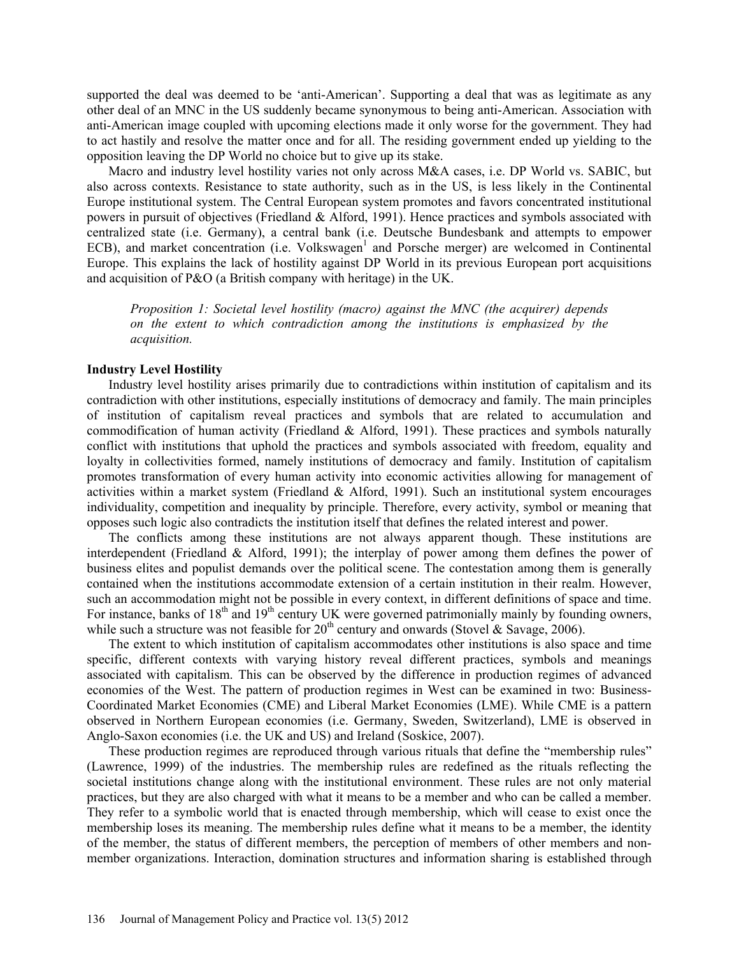supported the deal was deemed to be 'anti-American'. Supporting a deal that was as legitimate as any other deal of an MNC in the US suddenly became synonymous to being anti-American. Association with anti-American image coupled with upcoming elections made it only worse for the government. They had to act hastily and resolve the matter once and for all. The residing government ended up yielding to the opposition leaving the DP World no choice but to give up its stake.

Macro and industry level hostility varies not only across M&A cases, i.e. DP World vs. SABIC, but also across contexts. Resistance to state authority, such as in the US, is less likely in the Continental Europe institutional system. The Central European system promotes and favors concentrated institutional powers in pursuit of objectives (Friedland & Alford, 1991). Hence practices and symbols associated with centralized state (i.e. Germany), a central bank (i.e. Deutsche Bundesbank and attempts to empower ECB), and market concentration (i.e. Volkswagen<sup>1</sup> and Porsche merger) are welcomed in Continental Europe. This explains the lack of hostility against DP World in its previous European port acquisitions and acquisition of P&O (a British company with heritage) in the UK.

*Proposition 1: Societal level hostility (macro) against the MNC (the acquirer) depends on the extent to which contradiction among the institutions is emphasized by the acquisition.*

### **Industry Level Hostility**

Industry level hostility arises primarily due to contradictions within institution of capitalism and its contradiction with other institutions, especially institutions of democracy and family. The main principles of institution of capitalism reveal practices and symbols that are related to accumulation and commodification of human activity (Friedland & Alford, 1991). These practices and symbols naturally conflict with institutions that uphold the practices and symbols associated with freedom, equality and loyalty in collectivities formed, namely institutions of democracy and family. Institution of capitalism promotes transformation of every human activity into economic activities allowing for management of activities within a market system (Friedland & Alford, 1991). Such an institutional system encourages individuality, competition and inequality by principle. Therefore, every activity, symbol or meaning that opposes such logic also contradicts the institution itself that defines the related interest and power.

The conflicts among these institutions are not always apparent though. These institutions are interdependent (Friedland & Alford, 1991); the interplay of power among them defines the power of business elites and populist demands over the political scene. The contestation among them is generally contained when the institutions accommodate extension of a certain institution in their realm. However, such an accommodation might not be possible in every context, in different definitions of space and time. For instance, banks of  $18<sup>th</sup>$  and  $19<sup>th</sup>$  century UK were governed patrimonially mainly by founding owners, while such a structure was not feasible for  $20<sup>th</sup>$  century and onwards (Stovel & Savage, 2006).

The extent to which institution of capitalism accommodates other institutions is also space and time specific, different contexts with varying history reveal different practices, symbols and meanings associated with capitalism. This can be observed by the difference in production regimes of advanced economies of the West. The pattern of production regimes in West can be examined in two: Business-Coordinated Market Economies (CME) and Liberal Market Economies (LME). While CME is a pattern observed in Northern European economies (i.e. Germany, Sweden, Switzerland), LME is observed in Anglo-Saxon economies (i.e. the UK and US) and Ireland (Soskice, 2007).

These production regimes are reproduced through various rituals that define the "membership rules" (Lawrence, 1999) of the industries. The membership rules are redefined as the rituals reflecting the societal institutions change along with the institutional environment. These rules are not only material practices, but they are also charged with what it means to be a member and who can be called a member. They refer to a symbolic world that is enacted through membership, which will cease to exist once the membership loses its meaning. The membership rules define what it means to be a member, the identity of the member, the status of different members, the perception of members of other members and nonmember organizations. Interaction, domination structures and information sharing is established through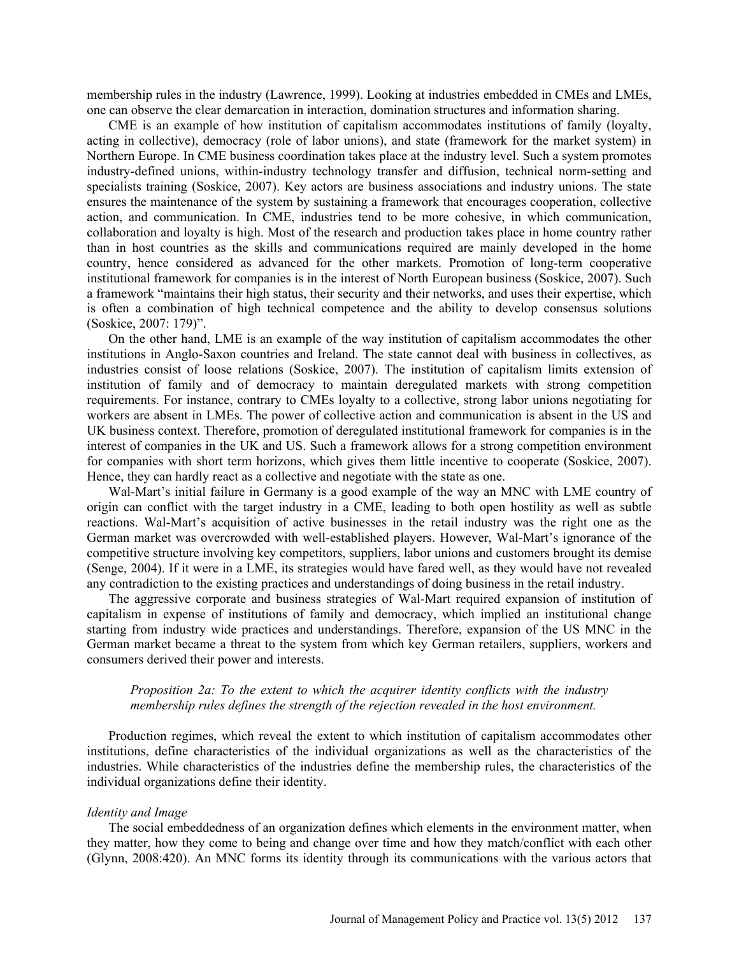membership rules in the industry (Lawrence, 1999). Looking at industries embedded in CMEs and LMEs, one can observe the clear demarcation in interaction, domination structures and information sharing.

CME is an example of how institution of capitalism accommodates institutions of family (loyalty, acting in collective), democracy (role of labor unions), and state (framework for the market system) in Northern Europe. In CME business coordination takes place at the industry level. Such a system promotes industry-defined unions, within-industry technology transfer and diffusion, technical norm-setting and specialists training (Soskice, 2007). Key actors are business associations and industry unions. The state ensures the maintenance of the system by sustaining a framework that encourages cooperation, collective action, and communication. In CME, industries tend to be more cohesive, in which communication, collaboration and loyalty is high. Most of the research and production takes place in home country rather than in host countries as the skills and communications required are mainly developed in the home country, hence considered as advanced for the other markets. Promotion of long-term cooperative institutional framework for companies is in the interest of North European business (Soskice, 2007). Such a framework "maintains their high status, their security and their networks, and uses their expertise, which is often a combination of high technical competence and the ability to develop consensus solutions (Soskice, 2007: 179)".

On the other hand, LME is an example of the way institution of capitalism accommodates the other institutions in Anglo-Saxon countries and Ireland. The state cannot deal with business in collectives, as industries consist of loose relations (Soskice, 2007). The institution of capitalism limits extension of institution of family and of democracy to maintain deregulated markets with strong competition requirements. For instance, contrary to CMEs loyalty to a collective, strong labor unions negotiating for workers are absent in LMEs. The power of collective action and communication is absent in the US and UK business context. Therefore, promotion of deregulated institutional framework for companies is in the interest of companies in the UK and US. Such a framework allows for a strong competition environment for companies with short term horizons, which gives them little incentive to cooperate (Soskice, 2007). Hence, they can hardly react as a collective and negotiate with the state as one.

Wal-Mart's initial failure in Germany is a good example of the way an MNC with LME country of origin can conflict with the target industry in a CME, leading to both open hostility as well as subtle reactions. Wal-Mart's acquisition of active businesses in the retail industry was the right one as the German market was overcrowded with well-established players. However, Wal-Mart's ignorance of the competitive structure involving key competitors, suppliers, labor unions and customers brought its demise (Senge, 2004). If it were in a LME, its strategies would have fared well, as they would have not revealed any contradiction to the existing practices and understandings of doing business in the retail industry.

The aggressive corporate and business strategies of Wal-Mart required expansion of institution of capitalism in expense of institutions of family and democracy, which implied an institutional change starting from industry wide practices and understandings. Therefore, expansion of the US MNC in the German market became a threat to the system from which key German retailers, suppliers, workers and consumers derived their power and interests.

# *Proposition 2a: To the extent to which the acquirer identity conflicts with the industry membership rules defines the strength of the rejection revealed in the host environment.*

Production regimes, which reveal the extent to which institution of capitalism accommodates other institutions, define characteristics of the individual organizations as well as the characteristics of the industries. While characteristics of the industries define the membership rules, the characteristics of the individual organizations define their identity.

#### *Identity and Image*

The social embeddedness of an organization defines which elements in the environment matter, when they matter, how they come to being and change over time and how they match/conflict with each other (Glynn, 2008:420). An MNC forms its identity through its communications with the various actors that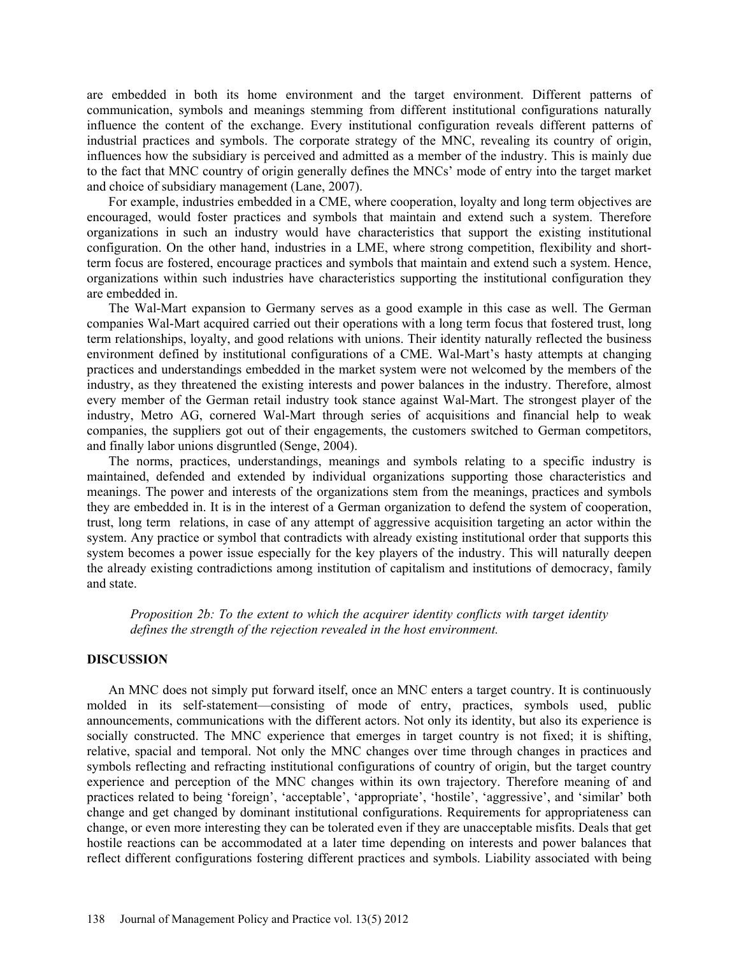are embedded in both its home environment and the target environment. Different patterns of communication, symbols and meanings stemming from different institutional configurations naturally influence the content of the exchange. Every institutional configuration reveals different patterns of industrial practices and symbols. The corporate strategy of the MNC, revealing its country of origin, influences how the subsidiary is perceived and admitted as a member of the industry. This is mainly due to the fact that MNC country of origin generally defines the MNCs' mode of entry into the target market and choice of subsidiary management (Lane, 2007).

For example, industries embedded in a CME, where cooperation, loyalty and long term objectives are encouraged, would foster practices and symbols that maintain and extend such a system. Therefore organizations in such an industry would have characteristics that support the existing institutional configuration. On the other hand, industries in a LME, where strong competition, flexibility and shortterm focus are fostered, encourage practices and symbols that maintain and extend such a system. Hence, organizations within such industries have characteristics supporting the institutional configuration they are embedded in.

The Wal-Mart expansion to Germany serves as a good example in this case as well. The German companies Wal-Mart acquired carried out their operations with a long term focus that fostered trust, long term relationships, loyalty, and good relations with unions. Their identity naturally reflected the business environment defined by institutional configurations of a CME. Wal-Mart's hasty attempts at changing practices and understandings embedded in the market system were not welcomed by the members of the industry, as they threatened the existing interests and power balances in the industry. Therefore, almost every member of the German retail industry took stance against Wal-Mart. The strongest player of the industry, Metro AG, cornered Wal-Mart through series of acquisitions and financial help to weak companies, the suppliers got out of their engagements, the customers switched to German competitors, and finally labor unions disgruntled (Senge, 2004).

The norms, practices, understandings, meanings and symbols relating to a specific industry is maintained, defended and extended by individual organizations supporting those characteristics and meanings. The power and interests of the organizations stem from the meanings, practices and symbols they are embedded in. It is in the interest of a German organization to defend the system of cooperation, trust, long term relations, in case of any attempt of aggressive acquisition targeting an actor within the system. Any practice or symbol that contradicts with already existing institutional order that supports this system becomes a power issue especially for the key players of the industry. This will naturally deepen the already existing contradictions among institution of capitalism and institutions of democracy, family and state.

*Proposition 2b: To the extent to which the acquirer identity conflicts with target identity defines the strength of the rejection revealed in the host environment.* 

# **DISCUSSION**

An MNC does not simply put forward itself, once an MNC enters a target country. It is continuously molded in its self-statement—consisting of mode of entry, practices, symbols used, public announcements, communications with the different actors. Not only its identity, but also its experience is socially constructed. The MNC experience that emerges in target country is not fixed; it is shifting, relative, spacial and temporal. Not only the MNC changes over time through changes in practices and symbols reflecting and refracting institutional configurations of country of origin, but the target country experience and perception of the MNC changes within its own trajectory. Therefore meaning of and practices related to being 'foreign', 'acceptable', 'appropriate', 'hostile', 'aggressive', and 'similar' both change and get changed by dominant institutional configurations. Requirements for appropriateness can change, or even more interesting they can be tolerated even if they are unacceptable misfits. Deals that get hostile reactions can be accommodated at a later time depending on interests and power balances that reflect different configurations fostering different practices and symbols. Liability associated with being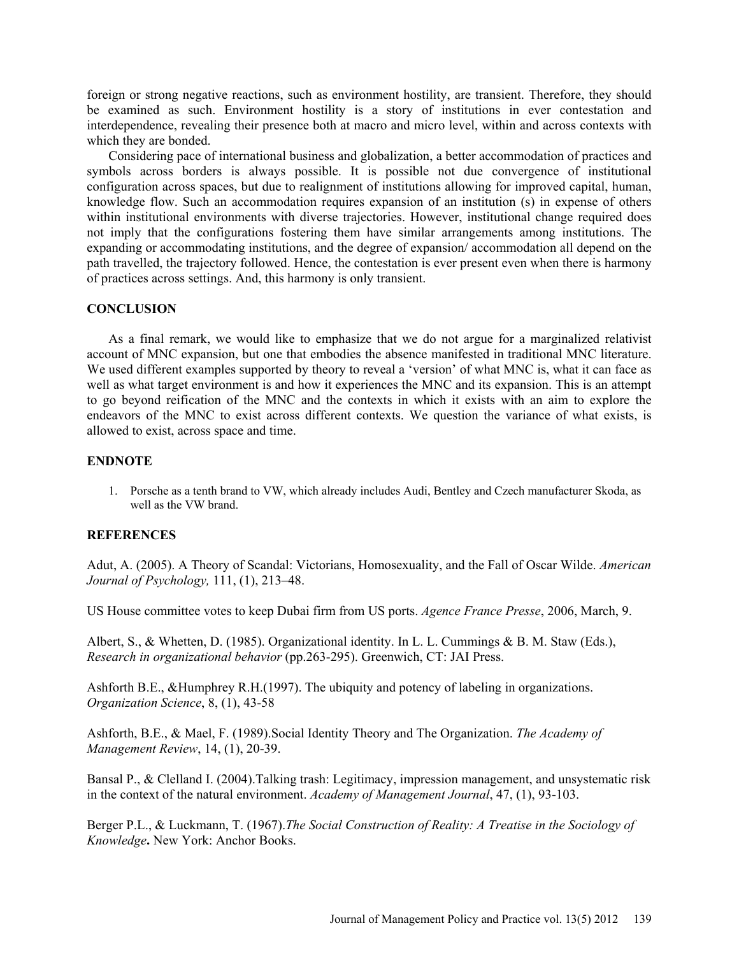foreign or strong negative reactions, such as environment hostility, are transient. Therefore, they should be examined as such. Environment hostility is a story of institutions in ever contestation and interdependence, revealing their presence both at macro and micro level, within and across contexts with which they are bonded.

Considering pace of international business and globalization, a better accommodation of practices and symbols across borders is always possible. It is possible not due convergence of institutional configuration across spaces, but due to realignment of institutions allowing for improved capital, human, knowledge flow. Such an accommodation requires expansion of an institution (s) in expense of others within institutional environments with diverse trajectories. However, institutional change required does not imply that the configurations fostering them have similar arrangements among institutions. The expanding or accommodating institutions, and the degree of expansion/ accommodation all depend on the path travelled, the trajectory followed. Hence, the contestation is ever present even when there is harmony of practices across settings. And, this harmony is only transient.

# **CONCLUSION**

As a final remark, we would like to emphasize that we do not argue for a marginalized relativist account of MNC expansion, but one that embodies the absence manifested in traditional MNC literature. We used different examples supported by theory to reveal a 'version' of what MNC is, what it can face as well as what target environment is and how it experiences the MNC and its expansion. This is an attempt to go beyond reification of the MNC and the contexts in which it exists with an aim to explore the endeavors of the MNC to exist across different contexts. We question the variance of what exists, is allowed to exist, across space and time.

# **ENDNOTE**

1. Porsche as a tenth brand to VW, which already includes Audi, Bentley and Czech manufacturer Skoda, as well as the VW brand.

#### **REFERENCES**

Adut, A. (2005). A Theory of Scandal: Victorians, Homosexuality, and the Fall of Oscar Wilde. *American Journal of Psychology,* 111, (1), 213–48.

US House committee votes to keep Dubai firm from US ports. *Agence France Presse*, 2006, March, 9.

Albert, S., & Whetten, D. (1985). Organizational identity. In L. L. Cummings & B. M. Staw (Eds.), *Research in organizational behavior* (pp.263-295). Greenwich, CT: JAI Press.

Ashforth B.E., &Humphrey R.H.(1997). The ubiquity and potency of labeling in organizations. *Organization Science*, 8, (1), 43-58

Ashforth, B.E., & Mael, F. (1989).Social Identity Theory and The Organization. *The Academy of Management Review*, 14, (1), 20-39.

Bansal P., & Clelland I. (2004).Talking trash: Legitimacy, impression management, and unsystematic risk in the context of the natural environment. *Academy of Management Journal*, 47, (1), 93-103.

Berger P.L., & Luckmann, T. (1967).*The Social Construction of Reality: A Treatise in the Sociology of Knowledge***.** New York: Anchor Books.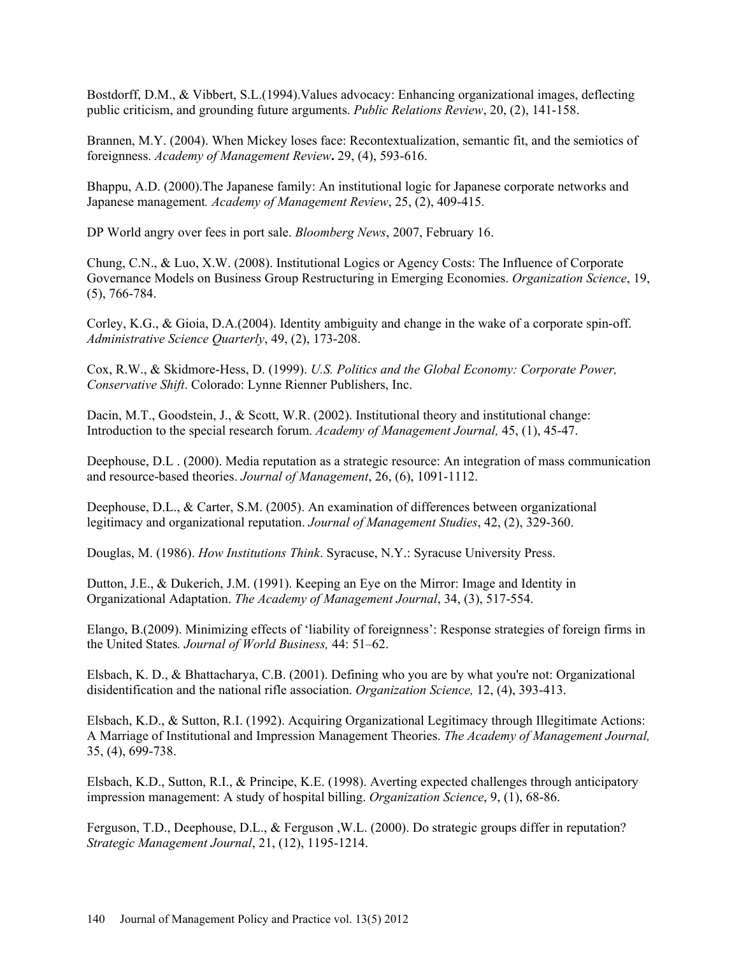Bostdorff, D.M., & Vibbert, S.L.(1994).Values advocacy: Enhancing organizational images, deflecting public criticism, and grounding future arguments. *Public Relations Review*, 20, (2), 141-158.

Brannen, M.Y. (2004). When Mickey loses face: Recontextualization, semantic fit, and the semiotics of foreignness. *Academy of Management Review***.** 29, (4), 593-616.

Bhappu, A.D. (2000).The Japanese family: An institutional logic for Japanese corporate networks and Japanese management*. Academy of Management Review*, 25, (2), 409-415.

DP World angry over fees in port sale. *Bloomberg News*, 2007, February 16.

Chung, C.N., & Luo, X.W. (2008). Institutional Logics or Agency Costs: The Influence of Corporate Governance Models on Business Group Restructuring in Emerging Economies. *Organization Science*, 19, (5), 766-784.

Corley, K.G., & Gioia, D.A.(2004). Identity ambiguity and change in the wake of a corporate spin-off. *Administrative Science Quarterly*, 49, (2), 173-208.

Cox, R.W., & Skidmore-Hess, D. (1999). *U.S. Politics and the Global Economy: Corporate Power, Conservative Shift*. Colorado: Lynne Rienner Publishers, Inc.

Dacin, M.T., Goodstein, J., & Scott, W.R. (2002). Institutional theory and institutional change: Introduction to the special research forum. *Academy of Management Journal,* 45, (1), 45-47.

Deephouse, D.L . (2000). Media reputation as a strategic resource: An integration of mass communication and resource-based theories. *Journal of Management*, 26, (6), 1091-1112.

Deephouse, D.L., & Carter, S.M. (2005). An examination of differences between organizational legitimacy and organizational reputation. *Journal of Management Studies*, 42, (2), 329-360.

Douglas, M. (1986). *How Institutions Think*. Syracuse, N.Y.: Syracuse University Press.

Dutton, J.E., & Dukerich, J.M. (1991). Keeping an Eye on the Mirror: Image and Identity in Organizational Adaptation. *The Academy of Management Journal*, 34, (3), 517-554.

Elango, B.(2009). Minimizing effects of 'liability of foreignness': Response strategies of foreign firms in the United States*. Journal of World Business,* 44: 51–62.

Elsbach, K. D., & Bhattacharya, C.B. (2001). Defining who you are by what you're not: Organizational disidentification and the national rifle association. *Organization Science,* 12, (4), 393-413.

Elsbach, K.D., & Sutton, R.I. (1992). Acquiring Organizational Legitimacy through Illegitimate Actions: A Marriage of Institutional and Impression Management Theories. *The Academy of Management Journal,* 35, (4), 699-738.

Elsbach, K.D., Sutton, R.I., & Principe, K.E. (1998). Averting expected challenges through anticipatory impression management: A study of hospital billing. *Organization Science*, 9, (1), 68-86.

Ferguson, T.D., Deephouse, D.L., & Ferguson ,W.L. (2000). Do strategic groups differ in reputation? *Strategic Management Journal*, 21, (12), 1195-1214.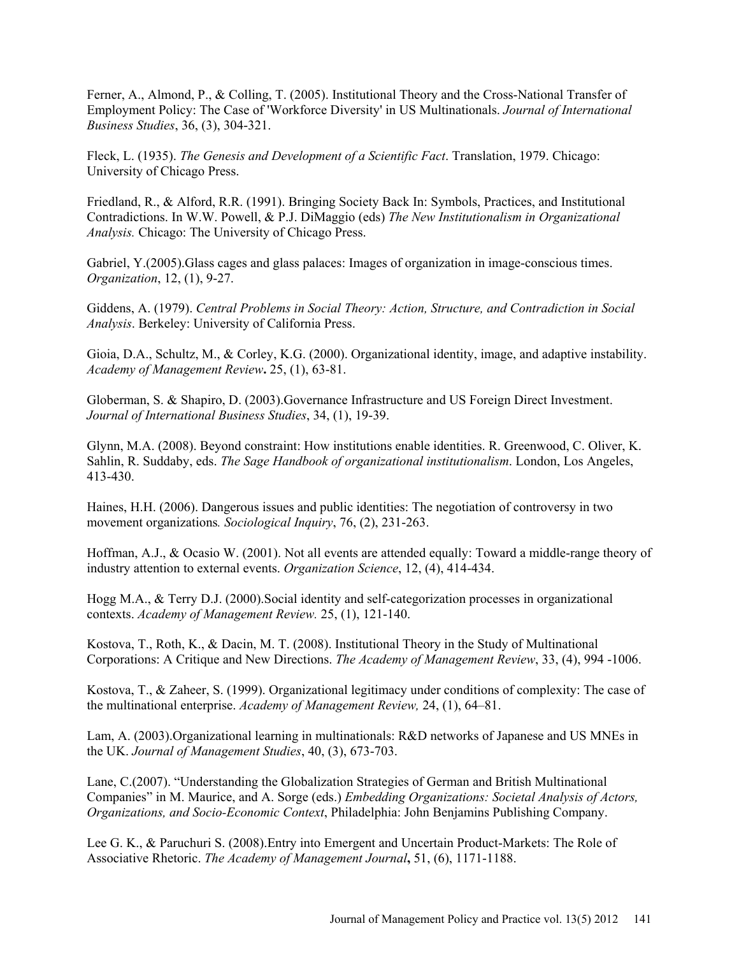Ferner, A., Almond, P., & Colling, T. (2005). Institutional Theory and the Cross-National Transfer of Employment Policy: The Case of 'Workforce Diversity' in US Multinationals. *Journal of International Business Studies*, 36, (3), 304-321.

Fleck, L. (1935). *The Genesis and Development of a Scientific Fact*. Translation, 1979. Chicago: University of Chicago Press.

Friedland, R., & Alford, R.R. (1991). Bringing Society Back In: Symbols, Practices, and Institutional Contradictions. In W.W. Powell, & P.J. DiMaggio (eds) *The New Institutionalism in Organizational Analysis.* Chicago: The University of Chicago Press.

Gabriel, Y.(2005). Glass cages and glass palaces: Images of organization in image-conscious times. *Organization*, 12, (1), 9-27.

Giddens, A. (1979). *Central Problems in Social Theory: Action, Structure, and Contradiction in Social Analysis*. Berkeley: University of California Press.

Gioia, D.A., Schultz, M., & Corley, K.G. (2000). Organizational identity, image, and adaptive instability. *Academy of Management Review***.** 25, (1), 63-81.

Globerman, S. & Shapiro, D. (2003).Governance Infrastructure and US Foreign Direct Investment. *Journal of International Business Studies*, 34, (1), 19-39.

Glynn, M.A. (2008). Beyond constraint: How institutions enable identities. R. Greenwood, C. Oliver, K. Sahlin, R. Suddaby, eds. *The Sage Handbook of organizational institutionalism*. London, Los Angeles, 413-430.

Haines, H.H. (2006). Dangerous issues and public identities: The negotiation of controversy in two movement organizations*. Sociological Inquiry*, 76, (2), 231-263.

Hoffman, A.J., & Ocasio W. (2001). Not all events are attended equally: Toward a middle-range theory of industry attention to external events. *Organization Science*, 12, (4), 414-434.

Hogg M.A., & Terry D.J. (2000).Social identity and self-categorization processes in organizational contexts. *Academy of Management Review.* 25, (1), 121-140.

Kostova, T., Roth, K., & Dacin, M. T. (2008). Institutional Theory in the Study of Multinational Corporations: A Critique and New Directions. *The Academy of Management Review*, 33, (4), 994 -1006.

Kostova, T., & Zaheer, S. (1999). Organizational legitimacy under conditions of complexity: The case of the multinational enterprise. *Academy of Management Review,* 24, (1), 64–81.

Lam, A. (2003).Organizational learning in multinationals: R&D networks of Japanese and US MNEs in the UK. *Journal of Management Studies*, 40, (3), 673-703.

Lane, C.(2007). "Understanding the Globalization Strategies of German and British Multinational Companies" in M. Maurice, and A. Sorge (eds.) *Embedding Organizations: Societal Analysis of Actors, Organizations, and Socio-Economic Context*, Philadelphia: John Benjamins Publishing Company.

Lee G. K., & Paruchuri S. (2008).Entry into Emergent and Uncertain Product-Markets: The Role of Associative Rhetoric. *The Academy of Management Journal***,** 51, (6), 1171-1188.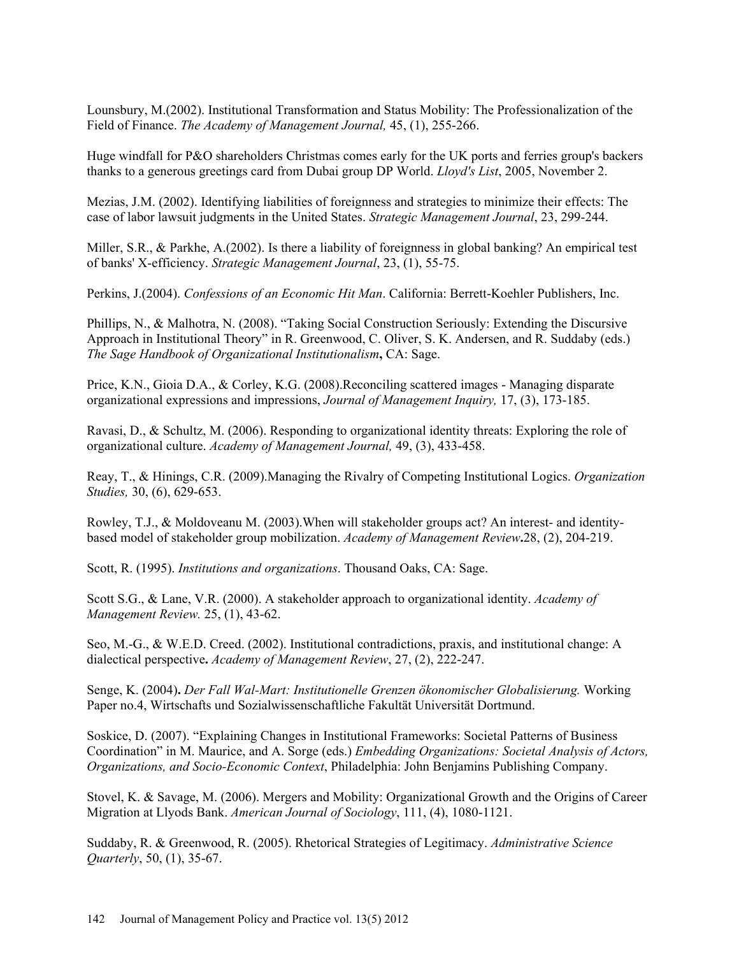Lounsbury, M.(2002). Institutional Transformation and Status Mobility: The Professionalization of the Field of Finance. *The Academy of Management Journal,* 45, (1), 255-266.

Huge windfall for P&O shareholders Christmas comes early for the UK ports and ferries group's backers thanks to a generous greetings card from Dubai group DP World. *Lloyd's List*, 2005, November 2.

Mezias, J.M. (2002). Identifying liabilities of foreignness and strategies to minimize their effects: The case of labor lawsuit judgments in the United States. *Strategic Management Journal*, 23, 299-244.

Miller, S.R., & Parkhe, A.(2002). Is there a liability of foreignness in global banking? An empirical test of banks' X-efficiency. *Strategic Management Journal*, 23, (1), 55-75.

Perkins, J.(2004). *Confessions of an Economic Hit Man*. California: Berrett-Koehler Publishers, Inc.

Phillips, N., & Malhotra, N. (2008). "Taking Social Construction Seriously: Extending the Discursive Approach in Institutional Theory" in R. Greenwood, C. Oliver, S. K. Andersen, and R. Suddaby (eds.) *The Sage Handbook of Organizational Institutionalism***,** CA: Sage.

Price, K.N., Gioia D.A., & Corley, K.G. (2008).Reconciling scattered images - Managing disparate organizational expressions and impressions, *Journal of Management Inquiry,* 17, (3), 173-185.

Ravasi, D., & Schultz, M. (2006). Responding to organizational identity threats: Exploring the role of organizational culture. *Academy of Management Journal,* 49, (3), 433-458.

Reay, T., & Hinings, C.R. (2009).Managing the Rivalry of Competing Institutional Logics. *Organization Studies,* 30, (6), 629-653.

Rowley, T.J., & Moldoveanu M. (2003).When will stakeholder groups act? An interest- and identitybased model of stakeholder group mobilization. *Academy of Management Review***.**28, (2), 204-219.

Scott, R. (1995). *Institutions and organizations*. Thousand Oaks, CA: Sage.

Scott S.G., & Lane, V.R. (2000). A stakeholder approach to organizational identity. *Academy of Management Review.* 25, (1), 43-62.

Seo, M.-G., & W.E.D. Creed. (2002). Institutional contradictions, praxis, and institutional change: A dialectical perspective**.** *Academy of Management Review*, 27, (2), 222-247.

Senge, K. (2004)**.** *Der Fall Wal-Mart: Institutionelle Grenzen ökonomischer Globalisierung.* Working Paper no.4, Wirtschafts und Sozialwissenschaftliche Fakultät Universität Dortmund.

Soskice, D. (2007). "Explaining Changes in Institutional Frameworks: Societal Patterns of Business Coordination" in M. Maurice, and A. Sorge (eds.) *Embedding Organizations: Societal Analysis of Actors, Organizations, and Socio-Economic Context*, Philadelphia: John Benjamins Publishing Company.

Stovel, K. & Savage, M. (2006). Mergers and Mobility: Organizational Growth and the Origins of Career Migration at Llyods Bank. *American Journal of Sociology*, 111, (4), 1080-1121.

Suddaby, R. & Greenwood, R. (2005). Rhetorical Strategies of Legitimacy. *Administrative Science Quarterly*, 50, (1), 35-67.